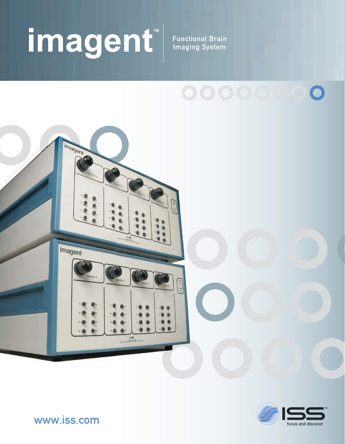# imagent<sup>"</sup>

**Functional Brain Imaging System** 





www.iss.com